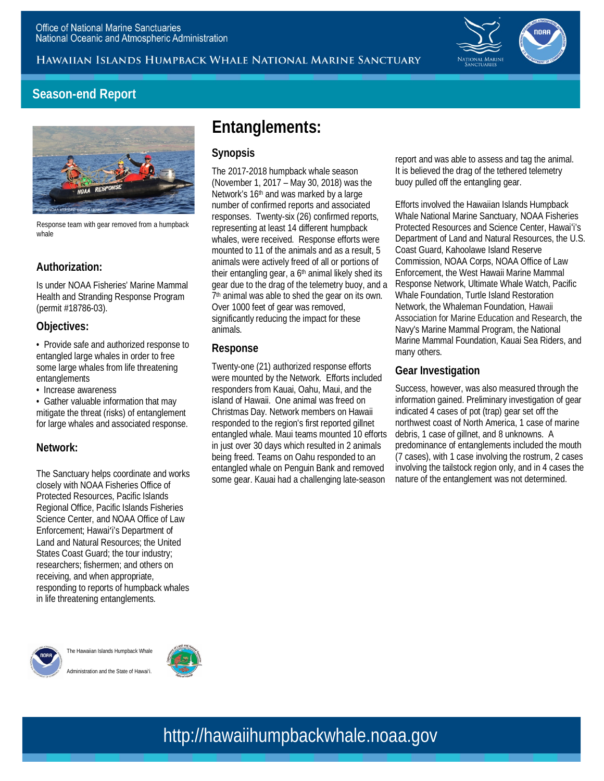Hawaiian Islands Humpback Whale National Marine Sanctuary



## **Season-end Report**



 whale Response team with gear removed from a humpback

### **Authorization:**

 Is under NOAA Fisheries' Marine Mammal Health and Stranding Response Program (permit #18786-03).

#### **Objectives:**

 • Provide safe and authorized response to entangled large whales in order to free some large whales from life threatening entanglements

• Increase awareness

 • Gather valuable information that may mitigate the threat (risks) of entanglement for large whales and associated response.

#### **Network:**

 The Sanctuary helps coordinate and works closely with NOAA Fisheries Office of Protected Resources, Pacific Islands Regional Office, Pacific Islands Fisheries Science Center, and NOAA Office of Law Enforcement; Hawaiʻi's Department of Land and Natural Resources; the United States Coast Guard; the tour industry; researchers; fishermen; and others on receiving, and when appropriate, responding to reports of humpback whales in life threatening entanglements.



 The Hawaiian Islands Humpback Whale Administration and the State of Hawai'i.



# **Entanglements:**

#### **Synopsis**

 The 2017-2018 humpback whale season (November 1, 2017 – May 30, 2018) was the Network's 16<sup>th</sup> and was marked by a large number of confirmed reports and associated responses. Twenty-six (26) confirmed reports, representing at least 14 different humpback whales, were received. Response efforts were mounted to 11 of the animals and as a result, 5 animals were actively freed of all or portions of their entangling gear, a 6<sup>th</sup> animal likely shed its gear due to the drag of the telemetry buoy, and a 7<sup>th</sup> animal was able to shed the gear on its own. Over 1000 feet of gear was removed, significantly reducing the impact for these animals.

#### **Response**

 Twenty-one (21) authorized response efforts were mounted by the Network. Efforts included responders from Kauai, Oahu, Maui, and the island of Hawaii. One animal was freed on Christmas Day. Network members on Hawaii responded to the region's first reported gillnet entangled whale. Maui teams mounted 10 efforts in just over 30 days which resulted in 2 animals some gear. Kauai had a challenging late-season being freed. Teams on Oahu responded to an entangled whale on Penguin Bank and removed

 report and was able to assess and tag the animal. buoy pulled off the entangling gear. It is believed the drag of the tethered telemetry

 Efforts involved the Hawaiian Islands Humpback Whale National Marine Sanctuary, NOAA Fisheries Protected Resources and Science Center, Hawaiʻi's Department of Land and Natural Resources, the U.S. Commission, NOAA Corps, NOAA Office of Law Enforcement, the West Hawaii Marine Mammal Response Network, Ultimate Whale Watch, Pacific Whale Foundation, Turtle Island Restoration Association for Marine Education and Research, the Navy's Marine Mammal Program, the National Marine Mammal Foundation, Kauai Sea Riders, and Coast Guard, Kahoolawe Island Reserve Network, the Whaleman Foundation, Hawaii many others.

#### **Gear Investigation**

 Success, however, was also measured through the information gained. Preliminary investigation of gear indicated 4 cases of pot (trap) gear set off the northwest coast of North America, 1 case of marine debris, 1 case of gillnet, and 8 unknowns. A predominance of entanglements included the mouth (7 cases), with 1 case involving the rostrum, 2 cases involving the tailstock region only, and in 4 cases the nature of the entanglement was not determined.

# http://hawaiihumpbackwhale.noaa.gov